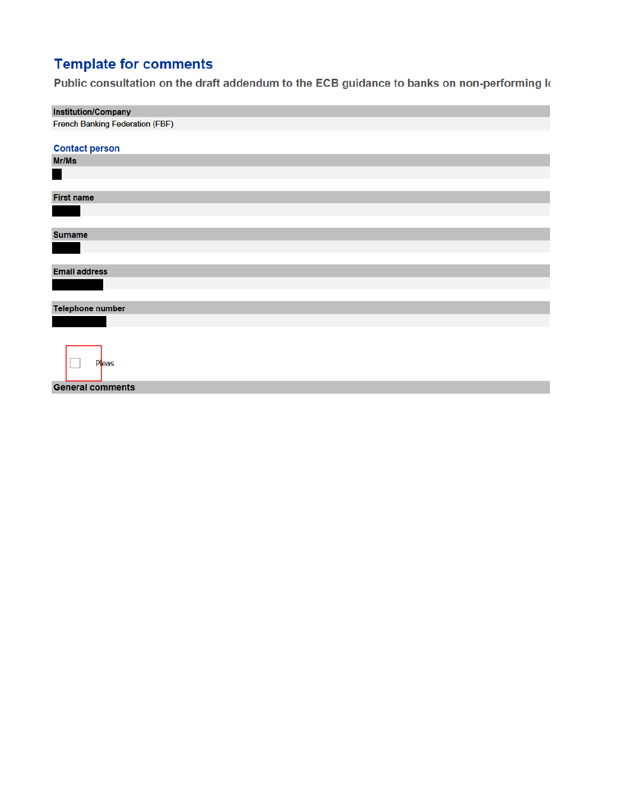## **Template for comments**

Public consultation on the draft addendum to the ECB guidance to banks on non-performing k

| Institution/Company                    |
|----------------------------------------|
| <b>French Banking Federation (FBF)</b> |
|                                        |
| <b>Contact person</b>                  |
| Mr/Ms                                  |
|                                        |
|                                        |
| <b>First name</b>                      |
|                                        |
|                                        |
| <b>Surname</b>                         |
|                                        |
|                                        |
| <b>Email address</b>                   |
|                                        |
|                                        |
| Telephone number                       |
|                                        |
|                                        |
|                                        |
| <b>Pleas</b>                           |
|                                        |
| <b>General comments</b>                |
|                                        |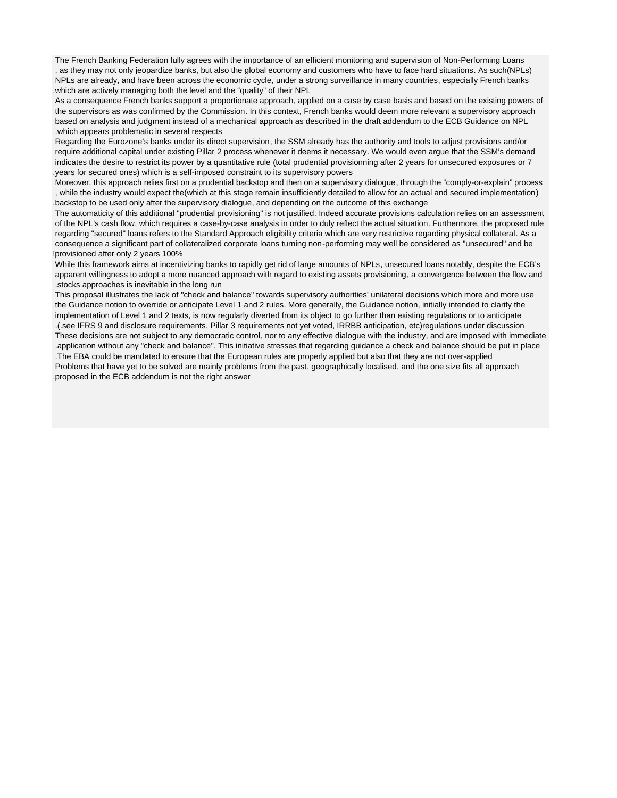The French Banking Federation fully agrees with the importance of an efficient monitoring and supervision of Non-Performing Loans , as they may not only jeopardize banks, but also the global economy and customers who have to face hard situations. As such(NPLs) NPLs are already, and have been across the economic cycle, under a strong surveillance in many countries, especially French banks .which are actively managing both the level and the "quality" of their NPL

 As a consequence French banks support a proportionate approach, applied on a case by case basis and based on the existing powers of the supervisors as was confirmed by the Commission. In this context, French banks would deem more relevant a supervisory approach based on analysis and judgment instead of a mechanical approach as described in the draft addendum to the ECB Guidance on NPL .which appears problematic in several respects

 Regarding the Eurozone's banks under its direct supervision, the SSM already has the authority and tools to adjust provisions and/or require additional capital under existing Pillar 2 process whenever it deems it necessary. We would even argue that the SSM's demand indicates the desire to restrict its power by a quantitative rule (total prudential provisionning after 2 years for unsecured exposures or 7 .years for secured ones) which is a self-imposed constraint to its supervisory powers

 Moreover, this approach relies first on a prudential backstop and then on a supervisory dialogue, through the "comply-or-explain" process , while the industry would expect the(which at this stage remain insufficiently detailed to allow for an actual and secured implementation) .backstop to be used only after the supervisory dialogue, and depending on the outcome of this exchange

 The automaticity of this additional "prudential provisioning" is not justified. Indeed accurate provisions calculation relies on an assessment of the NPL's cash flow, which requires a case-by-case analysis in order to duly reflect the actual situation. Furthermore, the proposed rule regarding "secured" loans refers to the Standard Approach eligibility criteria which are very restrictive regarding physical collateral. As a consequence a significant part of collateralized corporate loans turning non-performing may well be considered as "unsecured" and be !provisioned after only 2 years 100%

 While this framework aims at incentivizing banks to rapidly get rid of large amounts of NPLs, unsecured loans notably, despite the ECB's apparent willingness to adopt a more nuanced approach with regard to existing assets provisioning, a convergence between the flow and .stocks approaches is inevitable in the long run

 This proposal illustrates the lack of "check and balance" towards supervisory authorities' unilateral decisions which more and more use the Guidance notion to override or anticipate Level 1 and 2 rules. More generally, the Guidance notion, initially intended to clarify the implementation of Level 1 and 2 texts, is now regularly diverted from its object to go further than existing regulations or to anticipate .(.see IFRS 9 and disclosure requirements, Pillar 3 requirements not yet voted, IRRBB anticipation, etc)regulations under discussion These decisions are not subject to any democratic control, nor to any effective dialogue with the industry, and are imposed with immediate .application without any "check and balance". This initiative stresses that regarding guidance a check and balance should be put in place .The EBA could be mandated to ensure that the European rules are properly applied but also that they are not over-applied Problems that have yet to be solved are mainly problems from the past, geographically localised, and the one size fits all approach .proposed in the ECB addendum is not the right answer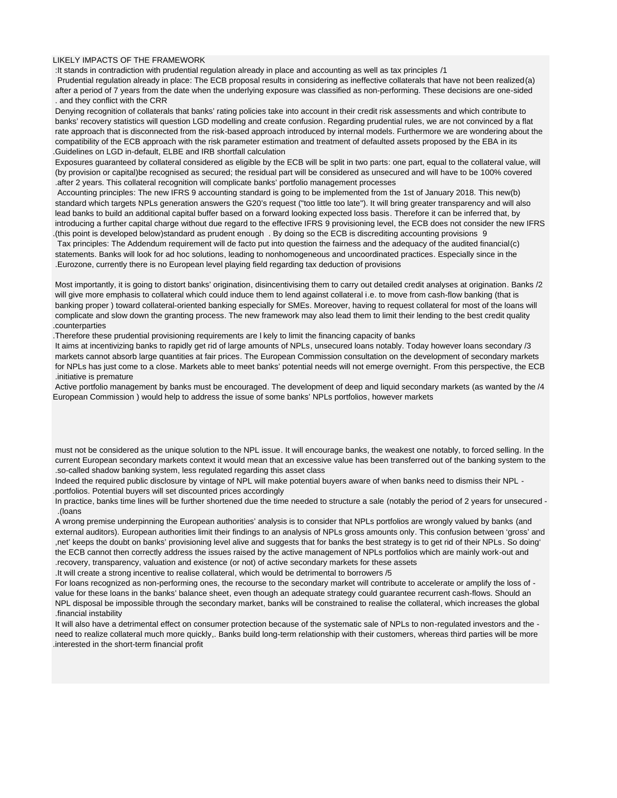## LIKELY IMPACTS OF THE FRAMEWORK

:It stands in contradiction with prudential regulation already in place and accounting as well as tax principles /1

 Prudential regulation already in place: The ECB proposal results in considering as ineffective collaterals that have not been realized(a) after a period of 7 years from the date when the underlying exposure was classified as non-performing. These decisions are one-sided . and they conflict with the CRR

 Denying recognition of collaterals that banks' rating policies take into account in their credit risk assessments and which contribute to banks' recovery statistics will question LGD modelling and create confusion. Regarding prudential rules, we are not convinced by a flat rate approach that is disconnected from the risk-based approach introduced by internal models. Furthermore we are wondering about the compatibility of the ECB approach with the risk parameter estimation and treatment of defaulted assets proposed by the EBA in its .Guidelines on LGD in-default, ELBE and IRB shortfall calculation

 Exposures guaranteed by collateral considered as eligible by the ECB will be split in two parts: one part, equal to the collateral value, will (by provision or capital)be recognised as secured; the residual part will be considered as unsecured and will have to be 100% covered .after 2 years. This collateral recognition will complicate banks' portfolio management processes

 Accounting principles: The new IFRS 9 accounting standard is going to be implemented from the 1st of January 2018. This new(b) standard which targets NPLs generation answers the G20's request ("too little too late"). It will bring greater transparency and will also lead banks to build an additional capital buffer based on a forward looking expected loss basis. Therefore it can be inferred that, by introducing a further capital charge without due regard to the effective IFRS 9 provisioning level, the ECB does not consider the new IFRS .(this point is developed below)standard as prudent enough . By doing so the ECB is discrediting accounting provisions 9

 Tax principles: The Addendum requirement will de facto put into question the fairness and the adequacy of the audited financial(c) statements. Banks will look for ad hoc solutions, leading to nonhomogeneous and uncoordinated practices. Especially since in the .Eurozone, currently there is no European level playing field regarding tax deduction of provisions

 Most importantly, it is going to distort banks' origination, disincentivising them to carry out detailed credit analyses at origination. Banks /2 will give more emphasis to collateral which could induce them to lend against collateral i.e. to move from cash-flow banking (that is banking proper ) toward collateral-oriented banking especially for SMEs. Moreover, having to request collateral for most of the loans will complicate and slow down the granting process. The new framework may also lead them to limit their lending to the best credit quality .counterparties

.Therefore these prudential provisioning requirements are l kely to limit the financing capacity of banks

It aims at incentivizing banks to rapidly get rid of large amounts of NPLs, unsecured loans notably. Today however loans secondary /3 markets cannot absorb large quantities at fair prices. The European Commission consultation on the development of secondary markets for NPLs has just come to a close. Markets able to meet banks' potential needs will not emerge overnight. From this perspective, the ECB .initiative is premature

 Active portfolio management by banks must be encouraged. The development of deep and liquid secondary markets (as wanted by the /4 European Commission ) would help to address the issue of some banks' NPLs portfolios, however markets

 must not be considered as the unique solution to the NPL issue. It will encourage banks, the weakest one notably, to forced selling. In the current European secondary markets context it would mean that an excessive value has been transferred out of the banking system to the .so-called shadow banking system, less regulated regarding this asset class

 Indeed the required public disclosure by vintage of NPL will make potential buyers aware of when banks need to dismiss their NPL - .portfolios. Potential buyers will set discounted prices accordingly

 In practice, banks time lines will be further shortened due the time needed to structure a sale (notably the period of 2 years for unsecured - .(loans

 A wrong premise underpinning the European authorities' analysis is to consider that NPLs portfolios are wrongly valued by banks (and external auditors). European authorities limit their findings to an analysis of NPLs gross amounts only. This confusion between 'gross' and ,net' keeps the doubt on banks' provisioning level alive and suggests that for banks the best strategy is to get rid of their NPLs. So doing' the ECB cannot then correctly address the issues raised by the active management of NPLs portfolios which are mainly work-out and .recovery, transparency, valuation and existence (or not) of active secondary markets for these assets

.It will create a strong incentive to realise collateral, which would be detrimental to borrowers /5

 For loans recognized as non-performing ones, the recourse to the secondary market will contribute to accelerate or amplify the loss of value for these loans in the banks' balance sheet, even though an adequate strategy could guarantee recurrent cash-flows. Should an NPL disposal be impossible through the secondary market, banks will be constrained to realise the collateral, which increases the global .financial instability

It will also have a detrimental effect on consumer protection because of the systematic sale of NPLs to non-regulated investors and the need to realize collateral much more quickly,. Banks build long-term relationship with their customers, whereas third parties will be more .interested in the short-term financial profit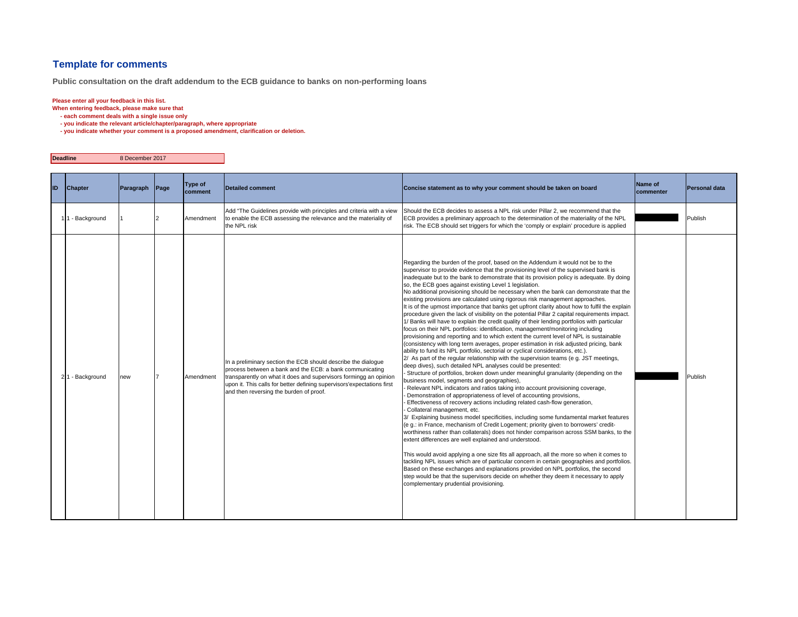## **Template for comments**

**Public consultation on the draft addendum to the ECB guidance to banks on non-performing loans**

## **Please enter all your feedback in this list.**

**When entering feedback, please make sure that** 

 **- each comment deals with a single issue only**

 **- you indicate the relevant article/chapter/paragraph, where appropriate**

 **- you indicate whether your comment is a proposed amendment, clarification or deletion.**

**Deadline**8 December 2017

| ID | Chapter         | Paragraph | Page | Type of<br>comment | <b>Detailed comment</b>                                                                                                                                                                                                                                                                                             | Concise statement as to why your comment should be taken on board                                                                                                                                                                                                                                                                                                                                                                                                                                                                                                                                                                                                                                                                                                                                                                                                                                                                                                                                                                                                                                                                                                                                                                                                                                                                                                                                                                                                                                                                                                                                                                                                                                                                                                                                                                                                                                                                                                                                                                                                                                                                                                                                                                                                                                                                                                                                                                                                                         | Name of<br>commenter | <b>Personal data</b> |
|----|-----------------|-----------|------|--------------------|---------------------------------------------------------------------------------------------------------------------------------------------------------------------------------------------------------------------------------------------------------------------------------------------------------------------|-------------------------------------------------------------------------------------------------------------------------------------------------------------------------------------------------------------------------------------------------------------------------------------------------------------------------------------------------------------------------------------------------------------------------------------------------------------------------------------------------------------------------------------------------------------------------------------------------------------------------------------------------------------------------------------------------------------------------------------------------------------------------------------------------------------------------------------------------------------------------------------------------------------------------------------------------------------------------------------------------------------------------------------------------------------------------------------------------------------------------------------------------------------------------------------------------------------------------------------------------------------------------------------------------------------------------------------------------------------------------------------------------------------------------------------------------------------------------------------------------------------------------------------------------------------------------------------------------------------------------------------------------------------------------------------------------------------------------------------------------------------------------------------------------------------------------------------------------------------------------------------------------------------------------------------------------------------------------------------------------------------------------------------------------------------------------------------------------------------------------------------------------------------------------------------------------------------------------------------------------------------------------------------------------------------------------------------------------------------------------------------------------------------------------------------------------------------------------------------------|----------------------|----------------------|
|    | 11 - Background |           |      | Amendment          | Add "The Guidelines provide with principles and criteria with a view<br>to enable the ECB assessing the relevance and the materiality of<br>the NPL risk                                                                                                                                                            | Should the ECB decides to assess a NPL risk under Pillar 2, we recommend that the<br>ECB provides a preliminary approach to the determination of the materiality of the NPL<br>risk. The ECB should set triggers for which the 'comply or explain' procedure is applied                                                                                                                                                                                                                                                                                                                                                                                                                                                                                                                                                                                                                                                                                                                                                                                                                                                                                                                                                                                                                                                                                                                                                                                                                                                                                                                                                                                                                                                                                                                                                                                                                                                                                                                                                                                                                                                                                                                                                                                                                                                                                                                                                                                                                   |                      | Publish              |
|    | 21 - Background | new       |      | Amendment          | In a preliminary section the ECB should describe the dialogue<br>process between a bank and the ECB: a bank communicating<br>transparently on what it does and supervisors formingg an opinion<br>upon it. This calls for better defining supervisors'expectations first<br>and then reversing the burden of proof. | Regarding the burden of the proof, based on the Addendum it would not be to the<br>supervisor to provide evidence that the provisioning level of the supervised bank is<br>inadequate but to the bank to demonstrate that its provision policy is adequate. By doing<br>so, the ECB goes against existing Level 1 legislation.<br>No additional provisioning should be necessary when the bank can demonstrate that the<br>existing provisions are calculated using rigorous risk management approaches.<br>It is of the upmost importance that banks get upfront clarity about how to fulfil the explain<br>procedure given the lack of visibility on the potential Pillar 2 capital requirements impact.<br>/ Banks will have to explain the credit quality of their lending portfolios with particular<br>focus on their NPL portfolios: identification, management/monitoring including<br>provisioning and reporting and to which extent the current level of NPL is sustainable<br>(consistency with long term averages, proper estimation in risk adjusted pricing, bank<br>ability to fund its NPL portfolio, sectorial or cyclical considerations, etc.).<br>2/ As part of the regular relationship with the supervision teams (e g. JST meetings,<br>deep dives), such detailed NPL analyses could be presented:<br>Structure of portfolios, broken down under meaningful granularity (depending on the<br>business model, segments and geographies),<br>Relevant NPL indicators and ratios taking into account provisioning coverage,<br>Demonstration of appropriateness of level of accounting provisions,<br>Effectiveness of recovery actions including related cash-flow generation,<br>Collateral management, etc.<br>3/ Explaining business model specificities, including some fundamental market features<br>(e g.: in France, mechanism of Credit Logement; priority given to borrowers' credit-<br>worthiness rather than collaterals) does not hinder comparison across SSM banks, to the<br>extent differences are well explained and understood.<br>This would avoid applying a one size fits all approach, all the more so when it comes to<br>tackling NPL issues which are of particular concern in certain geographies and portfolios.<br>Based on these exchanges and explanations provided on NPL portfolios, the second<br>step would be that the supervisors decide on whether they deem it necessary to apply<br>complementary prudential provisioning. |                      | Publish              |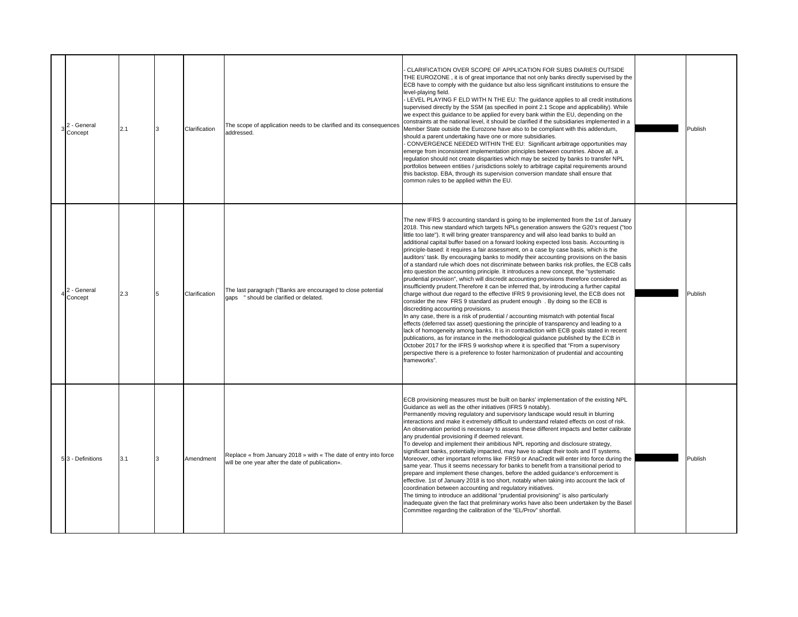| 2 - General<br>3 <sup>2</sup> Concept | 2.1 | Clarification | The scope of application needs to be clarified and its consequences<br>addressed.                                     | CLARIFICATION OVER SCOPE OF APPLICATION FOR SUBS DIARIES OUTSIDE<br>THE EUROZONE, it is of great importance that not only banks directly supervised by the<br>ECB have to comply with the guidance but also less significant institutions to ensure the<br>level-playing field.<br>LEVEL PLAYING F ELD WITH N THE EU: The guidance applies to all credit institutions<br>supervised directly by the SSM (as specified in point 2.1 Scope and applicability). While<br>we expect this quidance to be applied for every bank within the EU, depending on the<br>constraints at the national level, it should be clarified if the subsidiaries implemented in a<br>Member State outside the Eurozone have also to be compliant with this addendum,<br>should a parent undertaking have one or more subsidiaries.<br>CONVERGENCE NEEDED WITHIN THE EU: Significant arbitrage opportunities may<br>emerge from inconsistent implementation principles between countries. Above all, a<br>requlation should not create disparities which may be seized by banks to transfer NPL<br>portfolios between entities / jurisdictions solely to arbitrage capital requirements around<br>this backstop. EBA, through its supervision conversion mandate shall ensure that<br>common rules to be applied within the EU.                                                                                                                                                                                                                                                                                                                                                                                                                            | Publish |
|---------------------------------------|-----|---------------|-----------------------------------------------------------------------------------------------------------------------|--------------------------------------------------------------------------------------------------------------------------------------------------------------------------------------------------------------------------------------------------------------------------------------------------------------------------------------------------------------------------------------------------------------------------------------------------------------------------------------------------------------------------------------------------------------------------------------------------------------------------------------------------------------------------------------------------------------------------------------------------------------------------------------------------------------------------------------------------------------------------------------------------------------------------------------------------------------------------------------------------------------------------------------------------------------------------------------------------------------------------------------------------------------------------------------------------------------------------------------------------------------------------------------------------------------------------------------------------------------------------------------------------------------------------------------------------------------------------------------------------------------------------------------------------------------------------------------------------------------------------------------------------------------------------------------------------------------------------------------|---------|
| $4\frac{2}{6}$ - General<br>Concept   | 2.3 | Clarification | The last paragraph ("Banks are encouraged to close potential<br>gaps " should be clarified or delated.                | The new IFRS 9 accounting standard is going to be implemented from the 1st of January<br>2018. This new standard which targets NPLs generation answers the G20's request ("too<br>little too late"). It will bring greater transparency and will also lead banks to build an<br>additional capital buffer based on a forward looking expected loss basis. Accounting is<br>principle-based: it requires a fair assessment, on a case by case basis, which is the<br>auditors' task. By encouraging banks to modify their accounting provisions on the basis<br>of a standard rule which does not discriminate between banks risk profiles, the ECB calls<br>into question the accounting principle. It introduces a new concept, the "systematic<br>prudential provision", which will discredit accounting provisions therefore considered as<br>insufficiently prudent. Therefore it can be inferred that, by introducing a further capital<br>charge without due regard to the effective IFRS 9 provisioning level, the ECB does not<br>consider the new FRS 9 standard as prudent enough . By doing so the ECB is<br>discrediting accounting provisions.<br>In any case, there is a risk of prudential / accounting mismatch with potential fiscal<br>effects (deferred tax asset) questioning the principle of transparency and leading to a<br>lack of homogeneity among banks. It is in contradiction with ECB goals stated in recent<br>publications, as for instance in the methodological guidance published by the ECB in<br>October 2017 for the IFRS 9 workshop where it is specified that "From a supervisory<br>perspective there is a preference to foster harmonization of prudential and accounting<br>frameworks". | Publish |
| 53 - Definitions                      | 3.1 | Amendment     | Replace « from January 2018 » with « The date of entry into force<br>will be one year after the date of publication». | ECB provisioning measures must be built on banks' implementation of the existing NPL<br>Guidance as well as the other initiatives (IFRS 9 notably).<br>Permanently moving regulatory and supervisory landscape would result in blurring<br>interactions and make it extremely difficult to understand related effects on cost of risk.<br>An observation period is necessary to assess these different impacts and better calibrate<br>any prudential provisioning if deemed relevant.<br>To develop and implement their ambitious NPL reporting and disclosure strategy,<br>significant banks, potentially impacted, may have to adapt their tools and IT systems.<br>Moreover, other important reforms like FRS9 or AnaCredit will enter into force during the<br>same year. Thus it seems necessary for banks to benefit from a transitional period to<br>prepare and implement these changes, before the added quidance's enforcement is<br>effective. 1st of January 2018 is too short, notably when taking into account the lack of<br>coordination between accounting and regulatory initiatives.<br>The timing to introduce an additional "prudential provisioning" is also particularly<br>inadequate given the fact that preliminary works have also been undertaken by the Basel<br>Committee regarding the calibration of the "EL/Prov" shortfall.                                                                                                                                                                                                                                                                                                                                                                       | Publish |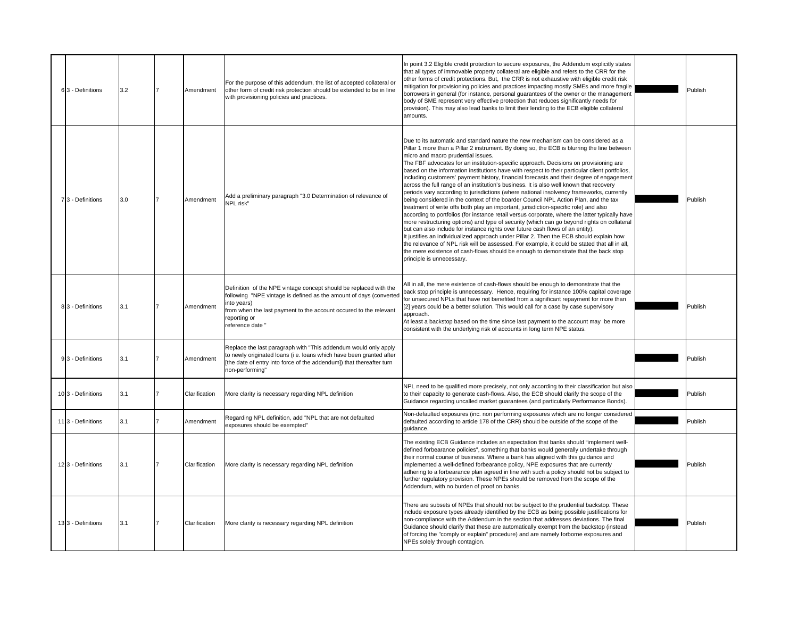| 6 3 - Definitions | 3.2 | Amendment     | For the purpose of this addendum, the list of accepted collateral or<br>other form of credit risk protection should be extended to be in line<br>with provisioning policies and practices.                                                                   | In point 3.2 Eligible credit protection to secure exposures, the Addendum explicitly states<br>that all types of immovable property collateral are eligible and refers to the CRR for the<br>other forms of credit protections. But, the CRR is not exhaustive with eligible credit risk<br>mitigation for provisioning policies and practices impacting mostly SMEs and more fragile<br>borrowers in general (for instance, personal quarantees of the owner or the management<br>body of SME represent very effective protection that reduces significantly needs for<br>provision). This may also lead banks to limit their lending to the ECB eligible collateral<br>amounts.                                                                                                                                                                                                                                                                                                                                                                                                                                                                                                                                                                                                                                                                                                                                                                                                    | Publish |
|-------------------|-----|---------------|--------------------------------------------------------------------------------------------------------------------------------------------------------------------------------------------------------------------------------------------------------------|--------------------------------------------------------------------------------------------------------------------------------------------------------------------------------------------------------------------------------------------------------------------------------------------------------------------------------------------------------------------------------------------------------------------------------------------------------------------------------------------------------------------------------------------------------------------------------------------------------------------------------------------------------------------------------------------------------------------------------------------------------------------------------------------------------------------------------------------------------------------------------------------------------------------------------------------------------------------------------------------------------------------------------------------------------------------------------------------------------------------------------------------------------------------------------------------------------------------------------------------------------------------------------------------------------------------------------------------------------------------------------------------------------------------------------------------------------------------------------------|---------|
| 7 3 - Definitions | 3.0 | Amendment     | Add a preliminary paragraph "3.0 Determination of relevance of<br><b>NPL risk"</b>                                                                                                                                                                           | Due to its automatic and standard nature the new mechanism can be considered as a<br>Pillar 1 more than a Pillar 2 instrument. By doing so, the ECB is blurring the line between<br>micro and macro prudential issues.<br>The FBF advocates for an institution-specific approach. Decisions on provisioning are<br>based on the information institutions have with respect to their particular client portfolios,<br>including customers' payment history, financial forecasts and their degree of engagement<br>across the full range of an institution's business. It is also well known that recovery<br>periods vary according to jurisdictions (where national insolvency frameworks, currently<br>being considered in the context of the boarder Council NPL Action Plan, and the tax<br>treatment of write offs both play an important, jurisdiction-specific role) and also<br>according to portfolios (for instance retail versus corporate, where the latter typically have<br>more restructuring options) and type of security (which can go beyond rights on collateral<br>but can also include for instance rights over future cash flows of an entity).<br>It justifies an individualized approach under Pillar 2. Then the ECB should explain how<br>the relevance of NPL risk will be assessed. For example, it could be stated that all in all,<br>the mere existence of cash-flows should be enough to demonstrate that the back stop<br>principle is unnecessary. | Publish |
| 3 - Definitions   | 3.1 | Amendment     | Definition of the NPE vintage concept should be replaced with the<br>following "NPE vintage is defined as the amount of days (converted<br>nto years)<br>rom when the last payment to the account occured to the relevant<br>eporting or<br>reference date " | All in all, the mere existence of cash-flows should be enough to demonstrate that the<br>back stop principle is unnecessary. Hence, requiring for instance 100% capital coverage<br>for unsecured NPLs that have not benefited from a significant repayment for more than<br>[2] years could be a better solution. This would call for a case by case supervisory<br>approach.<br>At least a backstop based on the time since last payment to the account may be more<br>consistent with the underlying risk of accounts in long term NPE status.                                                                                                                                                                                                                                                                                                                                                                                                                                                                                                                                                                                                                                                                                                                                                                                                                                                                                                                                    | Publish |
| 3 - Definitions   | 3.1 | Amendment     | Replace the last paragraph with "This addendum would only apply<br>to newly originated loans (i e. loans which have been granted after<br>the date of entry into force of the addendum]) that thereafter turn<br>non-performing"                             |                                                                                                                                                                                                                                                                                                                                                                                                                                                                                                                                                                                                                                                                                                                                                                                                                                                                                                                                                                                                                                                                                                                                                                                                                                                                                                                                                                                                                                                                                      | Publish |
| 103 - Definitions | 3.1 | Clarification | More clarity is necessary regarding NPL definition                                                                                                                                                                                                           | NPL need to be qualified more precisely, not only according to their classification but also<br>to their capacity to generate cash-flows. Also, the ECB should clarify the scope of the<br>Guidance regarding uncalled market quarantees (and particularly Performance Bonds).                                                                                                                                                                                                                                                                                                                                                                                                                                                                                                                                                                                                                                                                                                                                                                                                                                                                                                                                                                                                                                                                                                                                                                                                       | Publish |
| 113 - Definitions | 3.1 | Amendment     | Regarding NPL definition, add "NPL that are not defaulted<br>exposures should be exempted"                                                                                                                                                                   | Non-defaulted exposures (inc. non performing exposures which are no longer considered<br>defaulted according to article 178 of the CRR) should be outside of the scope of the<br>quidance.                                                                                                                                                                                                                                                                                                                                                                                                                                                                                                                                                                                                                                                                                                                                                                                                                                                                                                                                                                                                                                                                                                                                                                                                                                                                                           | Publish |
| 123 - Definitions | 3.1 | Clarification | More clarity is necessary regarding NPL definition                                                                                                                                                                                                           | The existing ECB Guidance includes an expectation that banks should "implement well-<br>defined forbearance policies", something that banks would generally undertake through<br>their normal course of business. Where a bank has aligned with this guidance and<br>implemented a well-defined forbearance policy, NPE exposures that are currently<br>adhering to a forbearance plan agreed in line with such a policy should not be subject to<br>further regulatory provision. These NPEs should be removed from the scope of the<br>Addendum, with no burden of proof on banks.                                                                                                                                                                                                                                                                                                                                                                                                                                                                                                                                                                                                                                                                                                                                                                                                                                                                                                 | Publish |
| 133 - Definitions | 3.1 | Clarification | More clarity is necessary regarding NPL definition                                                                                                                                                                                                           | There are subsets of NPEs that should not be subject to the prudential backstop. These<br>nclude exposure types already identified by the ECB as being possible justifications for<br>non-compliance with the Addendum in the section that addresses deviations. The final<br>Guidance should clarify that these are automatically exempt from the backstop (instead<br>of forcing the "comply or explain" procedure) and are namely forborne exposures and<br>NPEs solely through contagion.                                                                                                                                                                                                                                                                                                                                                                                                                                                                                                                                                                                                                                                                                                                                                                                                                                                                                                                                                                                        | Publish |